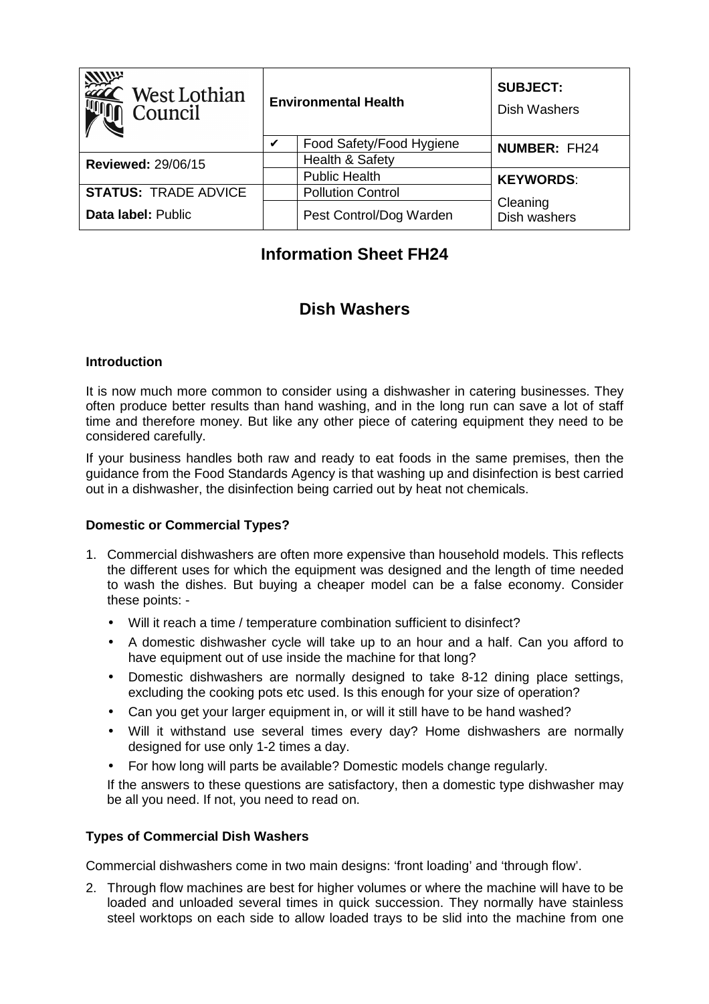| <b>MUP</b><br>West Lothian<br>Council | <b>Environmental Health</b> |                          | <b>SUBJECT:</b><br><b>Dish Washers</b> |
|---------------------------------------|-----------------------------|--------------------------|----------------------------------------|
|                                       | V                           | Food Safety/Food Hygiene | <b>NUMBER: FH24</b>                    |
| <b>Reviewed: 29/06/15</b>             |                             | Health & Safety          |                                        |
|                                       |                             | <b>Public Health</b>     | <b>KEYWORDS:</b>                       |
| <b>STATUS: TRADE ADVICE</b>           |                             | <b>Pollution Control</b> | Cleaning<br>Dish washers               |
| Data label: Public                    |                             | Pest Control/Dog Warden  |                                        |

# **Information Sheet FH24**

# **Dish Washers**

#### **Introduction**

It is now much more common to consider using a dishwasher in catering businesses. They often produce better results than hand washing, and in the long run can save a lot of staff time and therefore money. But like any other piece of catering equipment they need to be considered carefully.

If your business handles both raw and ready to eat foods in the same premises, then the guidance from the Food Standards Agency is that washing up and disinfection is best carried out in a dishwasher, the disinfection being carried out by heat not chemicals.

### **Domestic or Commercial Types?**

- 1. Commercial dishwashers are often more expensive than household models. This reflects the different uses for which the equipment was designed and the length of time needed to wash the dishes. But buying a cheaper model can be a false economy. Consider these points: -
	- Will it reach a time / temperature combination sufficient to disinfect?
	- A domestic dishwasher cycle will take up to an hour and a half. Can you afford to have equipment out of use inside the machine for that long?
	- Domestic dishwashers are normally designed to take 8-12 dining place settings, excluding the cooking pots etc used. Is this enough for your size of operation?
	- Can you get your larger equipment in, or will it still have to be hand washed?
	- Will it withstand use several times every day? Home dishwashers are normally designed for use only 1-2 times a day.
	- For how long will parts be available? Domestic models change regularly.

If the answers to these questions are satisfactory, then a domestic type dishwasher may be all you need. If not, you need to read on.

### **Types of Commercial Dish Washers**

Commercial dishwashers come in two main designs: 'front loading' and 'through flow'.

2. Through flow machines are best for higher volumes or where the machine will have to be loaded and unloaded several times in quick succession. They normally have stainless steel worktops on each side to allow loaded trays to be slid into the machine from one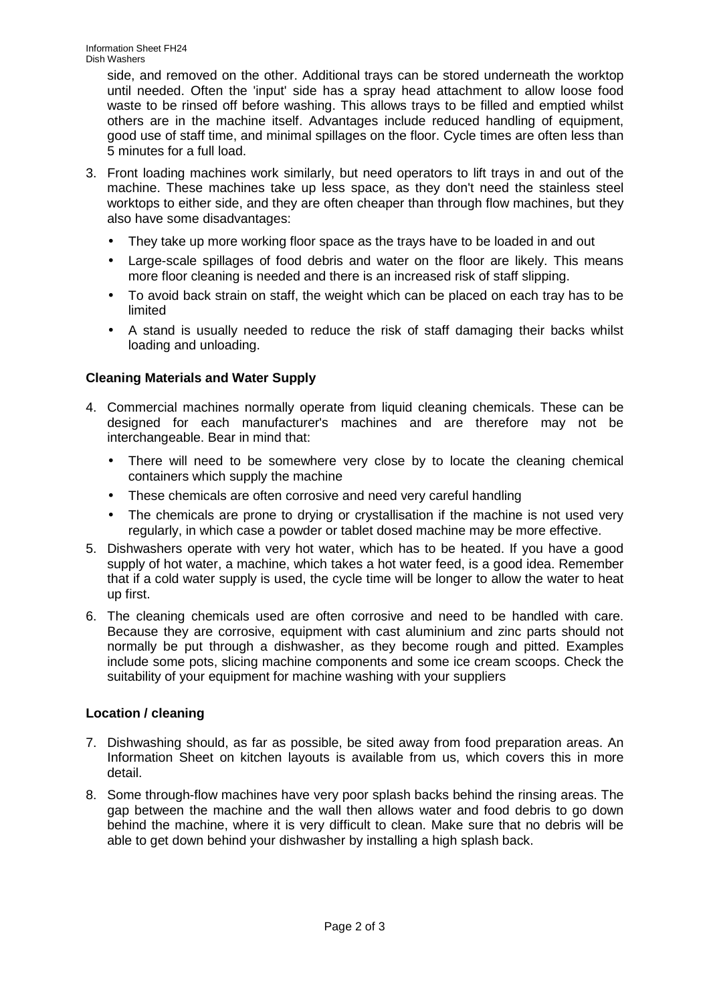side, and removed on the other. Additional trays can be stored underneath the worktop until needed. Often the 'input' side has a spray head attachment to allow loose food waste to be rinsed off before washing. This allows trays to be filled and emptied whilst others are in the machine itself. Advantages include reduced handling of equipment, good use of staff time, and minimal spillages on the floor. Cycle times are often less than 5 minutes for a full load.

- 3. Front loading machines work similarly, but need operators to lift trays in and out of the machine. These machines take up less space, as they don't need the stainless steel worktops to either side, and they are often cheaper than through flow machines, but they also have some disadvantages:
	- They take up more working floor space as the trays have to be loaded in and out
	- Large-scale spillages of food debris and water on the floor are likely. This means more floor cleaning is needed and there is an increased risk of staff slipping.
	- To avoid back strain on staff, the weight which can be placed on each tray has to be limited
	- A stand is usually needed to reduce the risk of staff damaging their backs whilst loading and unloading.

## **Cleaning Materials and Water Supply**

- 4. Commercial machines normally operate from liquid cleaning chemicals. These can be designed for each manufacturer's machines and are therefore may not be interchangeable. Bear in mind that:
	- There will need to be somewhere very close by to locate the cleaning chemical containers which supply the machine
	- These chemicals are often corrosive and need very careful handling
	- The chemicals are prone to drying or crystallisation if the machine is not used very regularly, in which case a powder or tablet dosed machine may be more effective.
- 5. Dishwashers operate with very hot water, which has to be heated. If you have a good supply of hot water, a machine, which takes a hot water feed, is a good idea. Remember that if a cold water supply is used, the cycle time will be longer to allow the water to heat up first.
- 6. The cleaning chemicals used are often corrosive and need to be handled with care. Because they are corrosive, equipment with cast aluminium and zinc parts should not normally be put through a dishwasher, as they become rough and pitted. Examples include some pots, slicing machine components and some ice cream scoops. Check the suitability of your equipment for machine washing with your suppliers

### **Location / cleaning**

- 7. Dishwashing should, as far as possible, be sited away from food preparation areas. An Information Sheet on kitchen layouts is available from us, which covers this in more detail.
- 8. Some through-flow machines have very poor splash backs behind the rinsing areas. The gap between the machine and the wall then allows water and food debris to go down behind the machine, where it is very difficult to clean. Make sure that no debris will be able to get down behind your dishwasher by installing a high splash back.